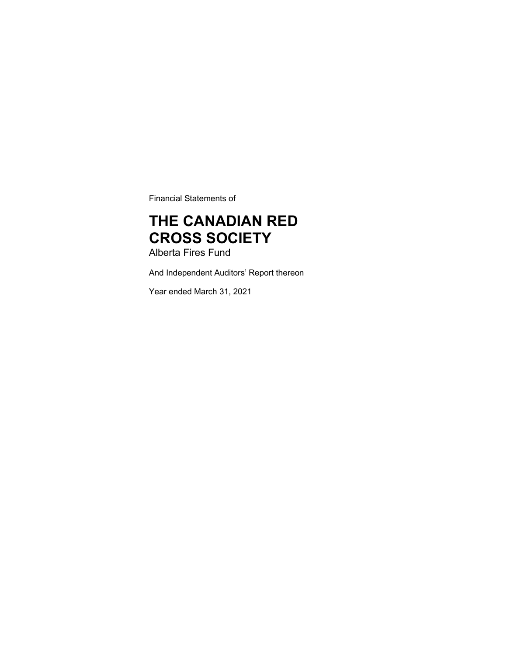Financial Statements of

# THE CANADIAN RED CROSS SOCIETY

Alberta Fires Fund

And Independent Auditors' Report thereon

Year ended March 31, 2021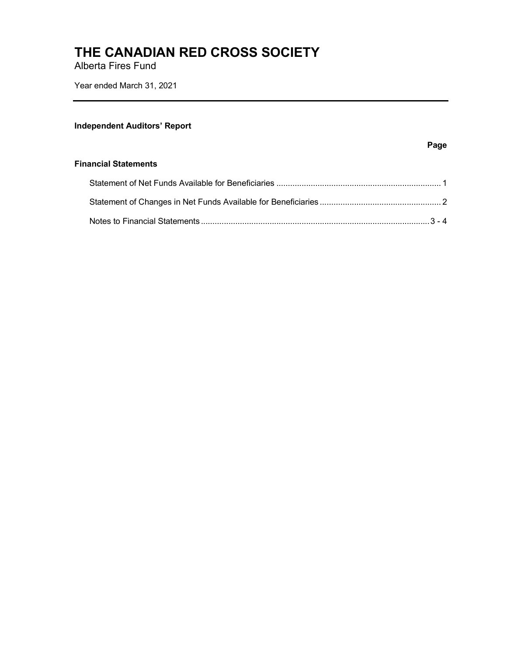Alberta Fires Fund

Year ended March 31, 2021

## **Independent Auditors' Report**

#### Page

#### Financial Statements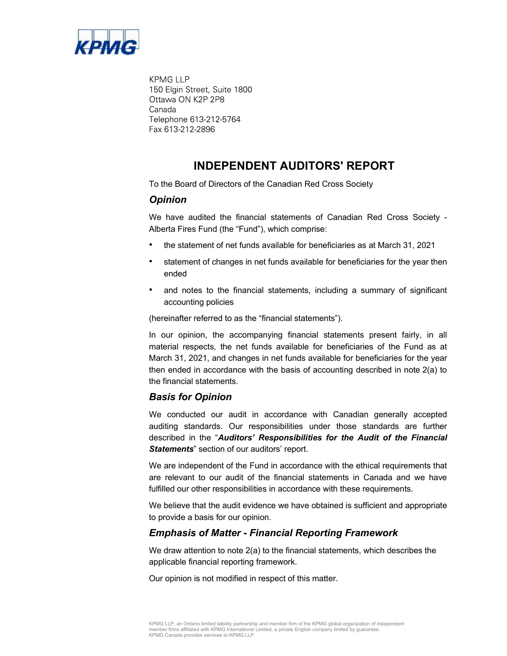

**KPMG LLP** 150 Elgin Street, Suite 1800 Ottawa ON K2P 2P8 Canada Telephone 613-212-5764 Fax 613-212-2896

# INDEPENDENT AUDITORS' REPORT

To the Board of Directors of the Canadian Red Cross Society

## **Opinion**

We have audited the financial statements of Canadian Red Cross Society - Alberta Fires Fund (the "Fund"), which comprise:

- the statement of net funds available for beneficiaries as at March 31, 2021
- statement of changes in net funds available for beneficiaries for the year then ended
- and notes to the financial statements, including a summary of significant accounting policies

(hereinafter referred to as the "financial statements").

In our opinion, the accompanying financial statements present fairly, in all material respects, the net funds available for beneficiaries of the Fund as at March 31, 2021, and changes in net funds available for beneficiaries for the year then ended in accordance with the basis of accounting described in note 2(a) to the financial statements.

### Basis for Opinion

We conducted our audit in accordance with Canadian generally accepted auditing standards. Our responsibilities under those standards are further described in the "Auditors' Responsibilities for the Audit of the Financial Statements" section of our auditors' report.

We are independent of the Fund in accordance with the ethical requirements that are relevant to our audit of the financial statements in Canada and we have fulfilled our other responsibilities in accordance with these requirements.

We believe that the audit evidence we have obtained is sufficient and appropriate to provide a basis for our opinion.

### Emphasis of Matter - Financial Reporting Framework

We draw attention to note 2(a) to the financial statements, which describes the applicable financial reporting framework.

Our opinion is not modified in respect of this matter.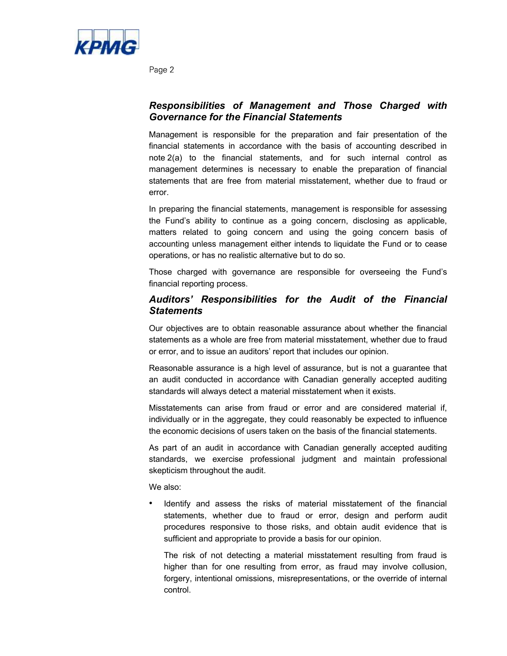

Page 2

# Responsibilities of Management and Those Charged with Governance for the Financial Statements

Management is responsible for the preparation and fair presentation of the financial statements in accordance with the basis of accounting described in note 2(a) to the financial statements, and for such internal control as management determines is necessary to enable the preparation of financial statements that are free from material misstatement, whether due to fraud or error.

In preparing the financial statements, management is responsible for assessing the Fund's ability to continue as a going concern, disclosing as applicable, matters related to going concern and using the going concern basis of accounting unless management either intends to liquidate the Fund or to cease operations, or has no realistic alternative but to do so.

Those charged with governance are responsible for overseeing the Fund's financial reporting process.

# Auditors' Responsibilities for the Audit of the Financial **Statements**

Our objectives are to obtain reasonable assurance about whether the financial statements as a whole are free from material misstatement, whether due to fraud or error, and to issue an auditors' report that includes our opinion.

Reasonable assurance is a high level of assurance, but is not a guarantee that an audit conducted in accordance with Canadian generally accepted auditing standards will always detect a material misstatement when it exists.

Misstatements can arise from fraud or error and are considered material if, individually or in the aggregate, they could reasonably be expected to influence the economic decisions of users taken on the basis of the financial statements.

As part of an audit in accordance with Canadian generally accepted auditing standards, we exercise professional judgment and maintain professional skepticism throughout the audit.

We also:

 Identify and assess the risks of material misstatement of the financial statements, whether due to fraud or error, design and perform audit procedures responsive to those risks, and obtain audit evidence that is sufficient and appropriate to provide a basis for our opinion.

The risk of not detecting a material misstatement resulting from fraud is higher than for one resulting from error, as fraud may involve collusion, forgery, intentional omissions, misrepresentations, or the override of internal control.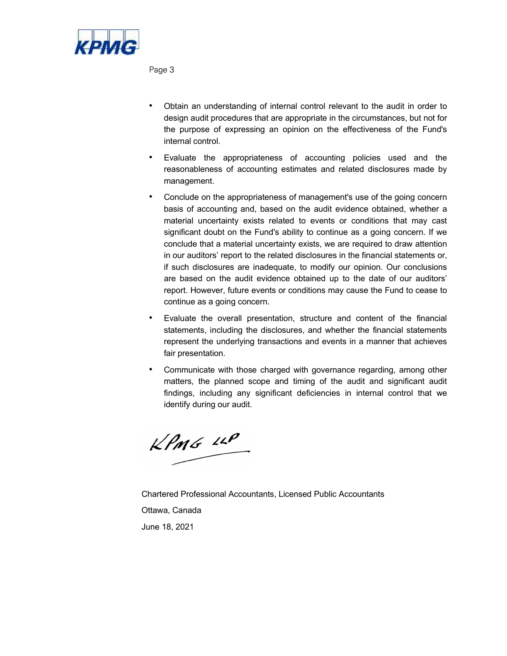

Page 3

- Obtain an understanding of internal control relevant to the audit in order to design audit procedures that are appropriate in the circumstances, but not for the purpose of expressing an opinion on the effectiveness of the Fund's internal control.
- Evaluate the appropriateness of accounting policies used and the reasonableness of accounting estimates and related disclosures made by management.
- Conclude on the appropriateness of management's use of the going concern basis of accounting and, based on the audit evidence obtained, whether a material uncertainty exists related to events or conditions that may cast significant doubt on the Fund's ability to continue as a going concern. If we conclude that a material uncertainty exists, we are required to draw attention in our auditors' report to the related disclosures in the financial statements or, if such disclosures are inadequate, to modify our opinion. Our conclusions are based on the audit evidence obtained up to the date of our auditors report. However, future events or conditions may cause the Fund to cease to continue as a going concern.
- Evaluate the overall presentation, structure and content of the financial statements, including the disclosures, and whether the financial statements represent the underlying transactions and events in a manner that achieves fair presentation.
- Communicate with those charged with governance regarding, among other matters, the planned scope and timing of the audit and significant audit findings, including any significant deficiencies in internal control that we identify during our audit.

 $KPMG$  14P

Chartered Professional Accountants, Licensed Public Accountants Ottawa, Canada June 18, 2021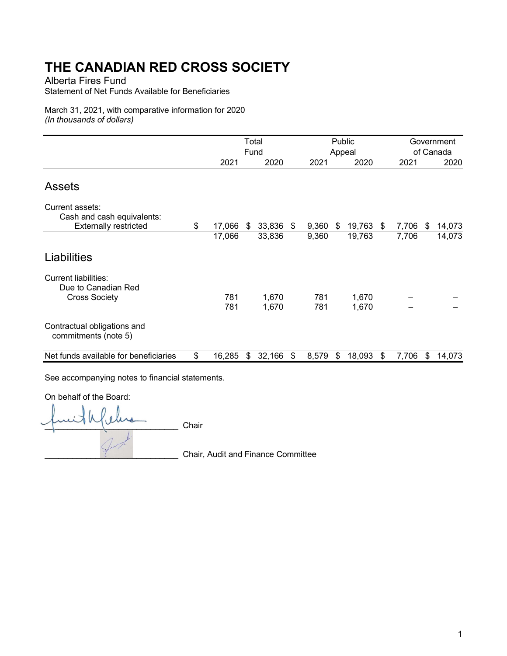Alberta Fires Fund

Statement of Net Funds Available for Beneficiaries

March 31, 2021, with comparative information for 2020 (In thousands of dollars)

|                                                                               | Total<br>Fund |    |           | Public<br>Appeal |       |     |        | Government<br>of Canada |       |    |        |
|-------------------------------------------------------------------------------|---------------|----|-----------|------------------|-------|-----|--------|-------------------------|-------|----|--------|
|                                                                               | 2021          |    | 2020      |                  | 2021  |     | 2020   |                         | 2021  |    | 2020   |
| <b>Assets</b>                                                                 |               |    |           |                  |       |     |        |                         |       |    |        |
| Current assets:<br>Cash and cash equivalents:<br><b>Externally restricted</b> | \$<br>17,066  | \$ | 33,836 \$ |                  | 9,360 | -\$ | 19,763 | \$                      | 7,706 | S. | 14,073 |
|                                                                               | 17,066        |    | 33,836    |                  | 9,360 |     | 19,763 |                         | 7,706 |    | 14,073 |
| Liabilities                                                                   |               |    |           |                  |       |     |        |                         |       |    |        |
| <b>Current liabilities:</b><br>Due to Canadian Red<br><b>Cross Society</b>    | 781           |    | 1,670     |                  | 781   |     | 1,670  |                         |       |    |        |
|                                                                               | 781           |    | 1,670     |                  | 781   |     | 1,670  |                         |       |    |        |
| Contractual obligations and<br>commitments (note 5)                           |               |    |           |                  |       |     |        |                         |       |    |        |
| Net funds available for beneficiaries                                         | \$<br>16,285  | \$ | 32,166    | \$               | 8,579 | \$  | 18,093 | \$                      | 7,706 | \$ | 14,073 |

See accompanying notes to financial statements.

On behalf of the Board:

 $\sum$ 

\_\_\_\_\_\_\_\_\_\_\_\_\_\_\_\_\_\_\_\_\_\_\_\_\_\_\_\_\_ Chair, Audit and Finance Committee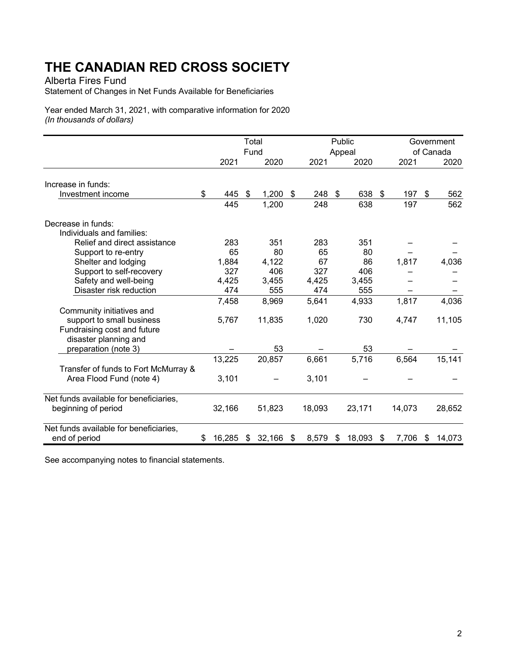Alberta Fires Fund

Statement of Changes in Net Funds Available for Beneficiaries

Year ended March 31, 2021, with comparative information for 2020 (In thousands of dollars)

|                                        |              | Total<br>Fund |                   |  |            |  | Public         | Government<br>of Canada |        |  |          |
|----------------------------------------|--------------|---------------|-------------------|--|------------|--|----------------|-------------------------|--------|--|----------|
|                                        | 2021         |               | 2020              |  | 2021       |  | Appeal<br>2020 |                         | 2021   |  | 2020     |
|                                        |              |               |                   |  |            |  |                |                         |        |  |          |
| Increase in funds:                     |              |               |                   |  |            |  |                |                         |        |  |          |
| Investment income                      | \$           | 445           | \$<br>$1,200$ \$  |  | 248 \$     |  | 638            | $\mathfrak{F}$          | 197 \$ |  | 562      |
|                                        |              | 445           | 1,200             |  | 248        |  | 638            |                         | 197    |  | 562      |
| Decrease in funds:                     |              |               |                   |  |            |  |                |                         |        |  |          |
| Individuals and families:              |              |               |                   |  |            |  |                |                         |        |  |          |
| Relief and direct assistance           |              | 283           | 351               |  | 283        |  | 351            |                         |        |  |          |
| Support to re-entry                    |              | 65            | 80                |  | 65         |  | 80             |                         |        |  |          |
| Shelter and lodging                    | 1,884        |               | 4,122             |  | 67         |  | 86             |                         | 1,817  |  | 4,036    |
| Support to self-recovery               |              | 327           | 406               |  | 327        |  | 406            |                         |        |  |          |
| Safety and well-being                  | 4,425        |               | 3,455             |  | 4,425      |  | 3,455          |                         |        |  |          |
| Disaster risk reduction                |              | 474           | 555               |  | 474        |  | 555            |                         |        |  |          |
|                                        | 7,458        |               | 8,969             |  | 5,641      |  | 4,933          |                         | 1,817  |  | 4,036    |
| Community initiatives and              |              |               |                   |  |            |  |                |                         |        |  |          |
| support to small business              | 5,767        |               | 11,835            |  | 1,020      |  | 730            |                         | 4,747  |  | 11,105   |
| Fundraising cost and future            |              |               |                   |  |            |  |                |                         |        |  |          |
| disaster planning and                  |              |               |                   |  |            |  |                |                         |        |  |          |
| preparation (note 3)                   |              |               | 53                |  |            |  | 53             |                         |        |  |          |
|                                        | 13,225       |               | 20,857            |  | 6,661      |  | 5,716          |                         | 6,564  |  | 15,141   |
| Transfer of funds to Fort McMurray &   |              |               |                   |  |            |  |                |                         |        |  |          |
| Area Flood Fund (note 4)               | 3,101        |               |                   |  | 3,101      |  |                |                         |        |  |          |
|                                        |              |               |                   |  |            |  |                |                         |        |  |          |
| Net funds available for beneficiaries, |              |               |                   |  |            |  |                |                         |        |  |          |
| beginning of period                    | 32,166       |               | 51,823            |  | 18,093     |  | 23,171         |                         | 14,073 |  | 28,652   |
|                                        |              |               |                   |  |            |  |                |                         |        |  |          |
| Net funds available for beneficiaries, |              |               |                   |  |            |  |                |                         |        |  |          |
| end of period                          | 16,285<br>\$ |               | $32,166$ \$<br>\$ |  | $8,579$ \$ |  | 18,093         | \$                      | 7,706  |  | \$14,073 |

See accompanying notes to financial statements.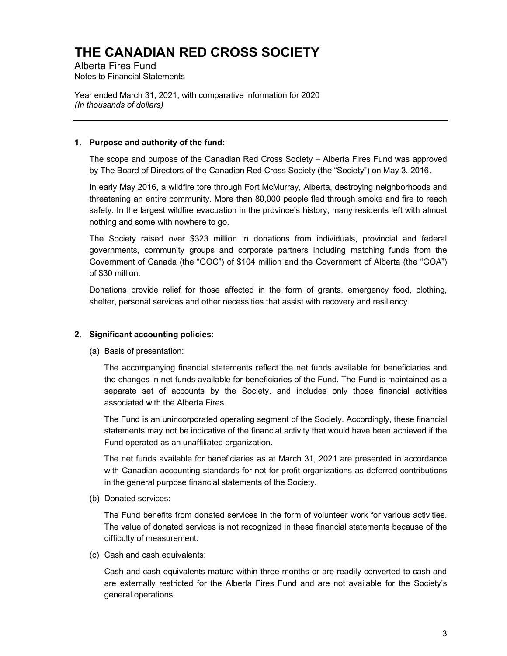Alberta Fires Fund Notes to Financial Statements

Year ended March 31, 2021, with comparative information for 2020 (In thousands of dollars)

### 1. Purpose and authority of the fund:

The scope and purpose of the Canadian Red Cross Society – Alberta Fires Fund was approved by The Board of Directors of the Canadian Red Cross Society (the "Society") on May 3, 2016.

In early May 2016, a wildfire tore through Fort McMurray, Alberta, destroying neighborhoods and threatening an entire community. More than 80,000 people fled through smoke and fire to reach safety. In the largest wildfire evacuation in the province's history, many residents left with almost nothing and some with nowhere to go.

The Society raised over \$323 million in donations from individuals, provincial and federal governments, community groups and corporate partners including matching funds from the Government of Canada (the "GOC") of \$104 million and the Government of Alberta (the "GOA") of \$30 million.

Donations provide relief for those affected in the form of grants, emergency food, clothing, shelter, personal services and other necessities that assist with recovery and resiliency.

### 2. Significant accounting policies:

(a) Basis of presentation:

The accompanying financial statements reflect the net funds available for beneficiaries and the changes in net funds available for beneficiaries of the Fund. The Fund is maintained as a separate set of accounts by the Society, and includes only those financial activities associated with the Alberta Fires.

The Fund is an unincorporated operating segment of the Society. Accordingly, these financial statements may not be indicative of the financial activity that would have been achieved if the Fund operated as an unaffiliated organization.

The net funds available for beneficiaries as at March 31, 2021 are presented in accordance with Canadian accounting standards for not-for-profit organizations as deferred contributions in the general purpose financial statements of the Society.

(b) Donated services:

The Fund benefits from donated services in the form of volunteer work for various activities. The value of donated services is not recognized in these financial statements because of the difficulty of measurement.

(c) Cash and cash equivalents:

Cash and cash equivalents mature within three months or are readily converted to cash and are externally restricted for the Alberta Fires Fund and are not available for the Society's general operations.